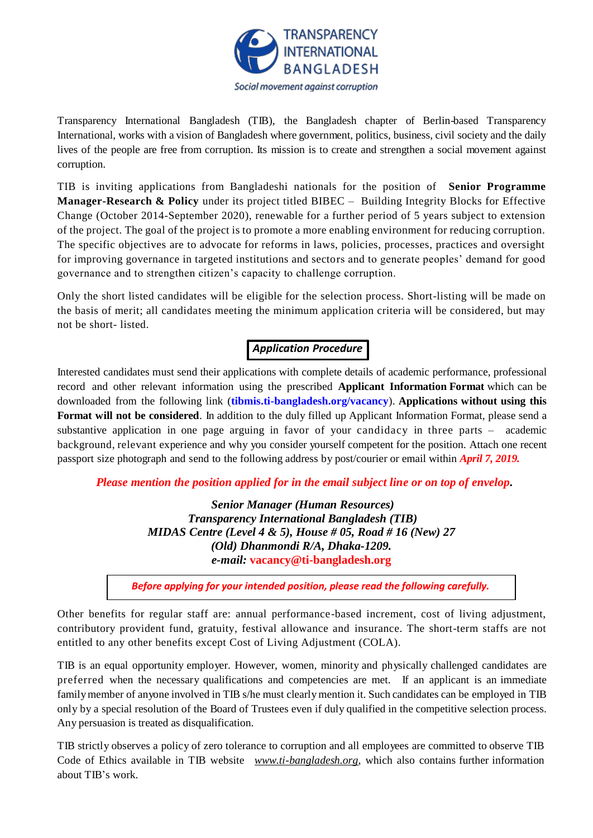

Transparency International Bangladesh (TIB), the Bangladesh chapter of Berlin-based Transparency International, works with a vision of Bangladesh where government, politics, business, civil society and the daily lives of the people are free from corruption. Its mission is to create and strengthen a social movement against corruption.

TIB is inviting applications from Bangladeshi nationals for the position of **Senior Programme Manager-Research & Policy** under its project titled BIBEC – Building Integrity Blocks for Effective Change (October 2014-September 2020), renewable for a further period of 5 years subject to extension of the project. The goal of the project is to promote a more enabling environment for reducing corruption. The specific objectives are to advocate for reforms in laws, policies, processes, practices and oversight for improving governance in targeted institutions and sectors and to generate peoples' demand for good governance and to strengthen citizen's capacity to challenge corruption.

Only the short listed candidates will be eligible for the selection process. Short-listing will be made on the basis of merit; all candidates meeting the minimum application criteria will be considered, but may not be short- listed.

# *Application Procedure*

Interested candidates must send their applications with complete details of academic performance, professional record and other relevant information using the prescribed **Applicant Information Format** which can be downloaded from the following link (**[tibmis.ti-bangladesh.org/vacancy](http://www.ti-bangladesh.org/vacancy)**). **Applications without using this Format will not be considered**. In addition to the duly filled up Applicant Information Format, please send a substantive application in one page arguing in favor of your candidacy in three parts – academic background, relevant experience and why you consider yourself competent for the position. Attach one recent passport size photograph and send to the following address by post/courier or email within *April 7, 2019.*

*Please mention the position applied for in the email subject line or on top of envelop***.**

*Senior Manager (Human Resources) Transparency International Bangladesh (TIB) MIDAS Centre (Level 4 & 5), House # 05, Road # 16 (New) 27 (Old) Dhanmondi R/A, Dhaka-1209. e-mail:* **vacancy@ti-bangladesh.org**

*Before applying for your intended position, please read the following carefully.*

Other benefits for regular staff are: annual performance-based increment, cost of living adjustment, contributory provident fund, gratuity, festival allowance and insurance. The short-term staffs are not entitled to any other benefits except Cost of Living Adjustment (COLA).

TIB is an equal opportunity employer. However, women, minority and physically challenged candidates are preferred when the necessary qualifications and competencies are met. If an applicant is an immediate family member of anyone involved in TIB s/he must clearly mention it. Such candidates can be employed in TIB only by a special resolution of the Board of Trustees even if duly qualified in the competitive selection process. Any persuasion is treated as disqualification.

TIB strictly observes a policy of zero tolerance to corruption and all employees are committed to observe TIB Code of Ethics available in TIB website *[www.ti-bangladesh.org](http://www.ti-bangladesh.org/)*, which also contains further information about TIB's work.